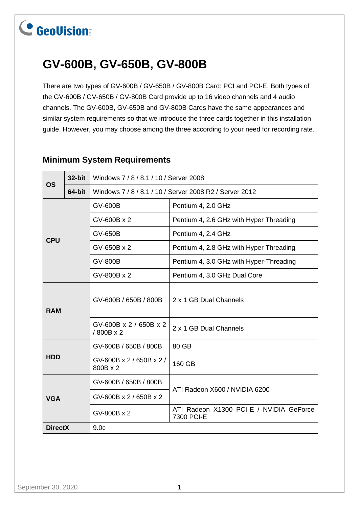## **GV-600B, GV-650B, GV-800B**

There are two types of GV-600B / GV-650B / GV-800B Card: PCI and PCI-E. Both types of the GV-600B / GV-650B / GV-800B Card provide up to 16 video channels and 4 audio channels. The GV-600B, GV-650B and GV-800B Cards have the same appearances and similar system requirements so that we introduce the three cards together in this installation guide. However, you may choose among the three according to your need for recording rate.

| <b>OS</b>      | 32-bit | Windows 7 / 8 / 8.1 / 10 / Server 2008                  |                                                       |  |  |  |  |
|----------------|--------|---------------------------------------------------------|-------------------------------------------------------|--|--|--|--|
|                | 64-bit | Windows 7 / 8 / 8.1 / 10 / Server 2008 R2 / Server 2012 |                                                       |  |  |  |  |
|                |        | GV-600B                                                 | Pentium 4, 2.0 GHz                                    |  |  |  |  |
|                |        | GV-600B x 2                                             | Pentium 4, 2.6 GHz with Hyper Threading               |  |  |  |  |
| <b>CPU</b>     |        | GV-650B                                                 | Pentium 4, 2.4 GHz                                    |  |  |  |  |
|                |        | GV-650B x 2                                             | Pentium 4, 2.8 GHz with Hyper Threading               |  |  |  |  |
|                |        | <b>GV-800B</b>                                          | Pentium 4, 3.0 GHz with Hyper-Threading               |  |  |  |  |
|                |        | GV-800B x 2                                             | Pentium 4, 3.0 GHz Dual Core                          |  |  |  |  |
| <b>RAM</b>     |        | GV-600B / 650B / 800B                                   | 2 x 1 GB Dual Channels                                |  |  |  |  |
|                |        | GV-600B x 2 / 650B x 2<br>/800B x 2                     | 2 x 1 GB Dual Channels                                |  |  |  |  |
|                |        | GV-600B / 650B / 800B                                   | 80 GB                                                 |  |  |  |  |
| <b>HDD</b>     |        | GV-600B x 2 / 650B x 2 /<br>800B x 2                    | 160 GB                                                |  |  |  |  |
|                |        | GV-600B / 650B / 800B                                   |                                                       |  |  |  |  |
| <b>VGA</b>     |        | GV-600B x 2 / 650B x 2                                  | ATI Radeon X600 / NVIDIA 6200                         |  |  |  |  |
|                |        | GV-800B x 2                                             | ATI Radeon X1300 PCI-E / NVIDIA GeForce<br>7300 PCI-E |  |  |  |  |
| <b>DirectX</b> |        | 9.0 <sub>c</sub>                                        |                                                       |  |  |  |  |

### **Minimum System Requirements**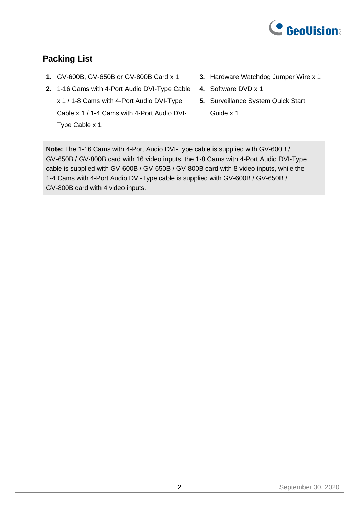

## **Packing List**

- **1.** GV-600B, GV-650B or GV-800B Card x 1
- **2.** 1-16 Cams with 4-Port Audio DVI-Type Cable x 1 / 1-8 Cams with 4-Port Audio DVI-Type Cable x 1 / 1-4 Cams with 4-Port Audio DVI-Type Cable x 1
- **3.** Hardware Watchdog Jumper Wire x 1
- **4.** Software DVD x 1
- **5.** Surveillance System Quick Start Guide x 1

**Note:** The 1-16 Cams with 4-Port Audio DVI-Type cable is supplied with GV-600B / GV-650B / GV-800B card with 16 video inputs, the 1-8 Cams with 4-Port Audio DVI-Type cable is supplied with GV-600B / GV-650B / GV-800B card with 8 video inputs, while the 1-4 Cams with 4-Port Audio DVI-Type cable is supplied with GV-600B / GV-650B / GV-800B card with 4 video inputs.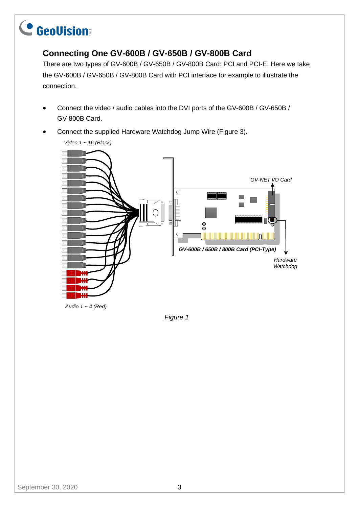### **Connecting One GV-600B / GV-650B / GV-800B Card**

There are two types of GV-600B / GV-650B / GV-800B Card: PCI and PCI-E. Here we take the GV-600B / GV-650B / GV-800B Card with PCI interface for example to illustrate the connection.

- Connect the video / audio cables into the DVI ports of the GV-600B / GV-650B / GV-800B Card.
- Connect the supplied Hardware Watchdog Jump Wire (Figure 3).



*Audio 1 ~ 4 (Red)*

*Video 1 ~ 16 (Black)*

*Figure 1*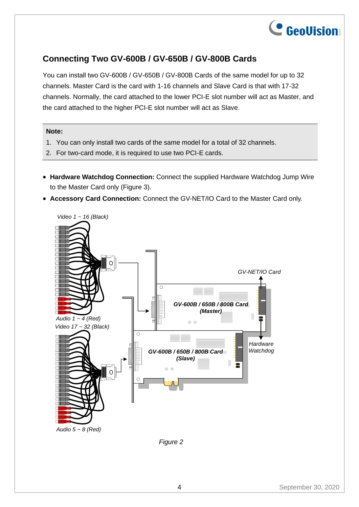

### **Connecting Two GV-600B / GV-650B / GV-800B Cards**

You can install two GV-600B / GV-650B / GV-800B Cards of the same model for up to 32 channels. Master Card is the card with 1-16 channels and Slave Card is that with 17-32 channels. Normally, the card attached to the lower PCI-E slot number will act as Master, and the card attached to the higher PCI-E slot number will act as Slave.

#### **Note:**

- 1. You can only install two cards of the same model for a total of 32 channels.
- 2. For two-card mode, it is required to use two PCI-E cards.
- **Hardware Watchdog Connection:** Connect the supplied Hardware Watchdog Jump Wire to the Master Card only (Figure 3).
- **Accessory Card Connection:** Connect the GV-NET/IO Card to the Master Card only.



*Figure 2*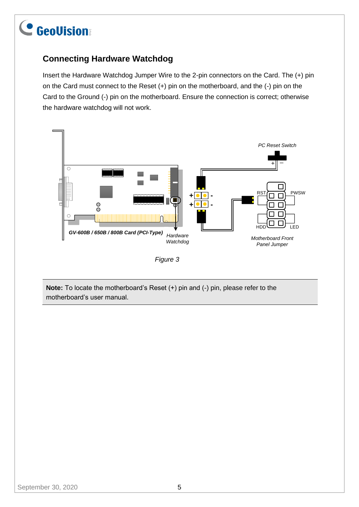## **Connecting Hardware Watchdog**

Insert the Hardware Watchdog Jumper Wire to the 2-pin connectors on the Card. The (+) pin on the Card must connect to the Reset (+) pin on the motherboard, and the (-) pin on the Card to the Ground (-) pin on the motherboard. Ensure the connection is correct; otherwise the hardware watchdog will not work.



*Figure 3*

**Note:** To locate the motherboard's Reset (+) pin and (-) pin, please refer to the motherboard's user manual.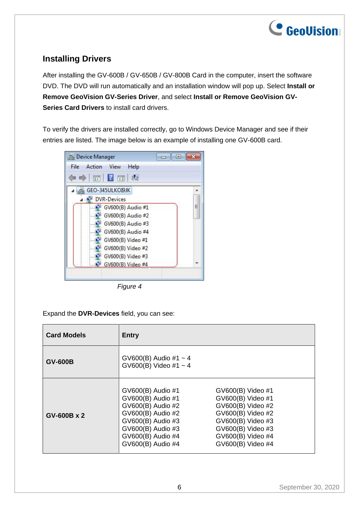

### **Installing Drivers**

After installing the GV-600B / GV-650B / GV-800B Card in the computer, insert the software DVD. The DVD will run automatically and an installation window will pop up. Select **Install or Remove GeoVision GV-Series Driver**, and select **Install or Remove GeoVision GV-Series Card Drivers** to install card drivers.

To verify the drivers are installed correctly, go to Windows Device Manager and see if their entries are listed. The image below is an example of installing one GV-600B card.

| Device Manager                    | $-1$ |
|-----------------------------------|------|
| Action View<br>Help<br>File       |      |
| 同日司<br>$\Rightarrow$<br><b>IC</b> |      |
| GEO-345ULKOI9JK                   |      |
| <b>DVR-Devices</b>                |      |
| $\rightarrow$ GV600(B) Audio #1   | Ξ    |
| $\bullet$ GV600(B) Audio #2       |      |
| $\bullet$ GV600(B) Audio #3       |      |
| $\bullet$ GV600(B) Audio #4       |      |
| GV600(B) Video #1                 |      |
| GV600(B) Video #2                 |      |
| $\bullet$ GV600(B) Video #3       |      |
| a P<br>GV600(B) Video #4          |      |

*Figure 4*

Expand the **DVR-Devices** field, you can see:

| <b>Card Models</b> | <b>Entry</b>                                                                                                                                                         |                                                                                                                                                                      |  |  |
|--------------------|----------------------------------------------------------------------------------------------------------------------------------------------------------------------|----------------------------------------------------------------------------------------------------------------------------------------------------------------------|--|--|
| <b>GV-600B</b>     | GV600(B) Audio #1 $\sim$ 4<br>GV600(B) Video #1 $\sim$ 4                                                                                                             |                                                                                                                                                                      |  |  |
| GV-600B x 2        | GV600(B) Audio #1<br>GV600(B) Audio #1<br>GV600(B) Audio #2<br>GV600(B) Audio #2<br>GV600(B) Audio #3<br>GV600(B) Audio #3<br>GV600(B) Audio #4<br>GV600(B) Audio #4 | GV600(B) Video #1<br>GV600(B) Video #1<br>GV600(B) Video #2<br>GV600(B) Video #2<br>GV600(B) Video #3<br>GV600(B) Video #3<br>GV600(B) Video #4<br>GV600(B) Video #4 |  |  |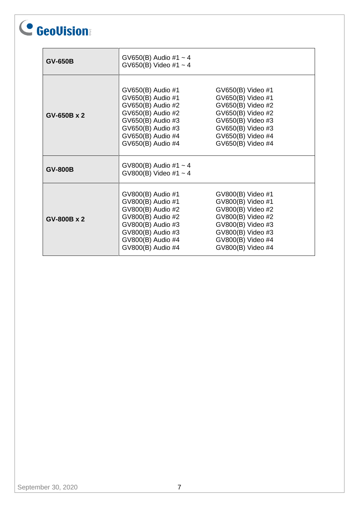| <b>GV-650B</b> | GV650(B) Audio #1 $\sim$ 4<br>GV650(B) Video #1 $\sim$ 4                                                                                                             |                                                                                                                                                                      |  |  |
|----------------|----------------------------------------------------------------------------------------------------------------------------------------------------------------------|----------------------------------------------------------------------------------------------------------------------------------------------------------------------|--|--|
| GV-650B x 2    | GV650(B) Audio #1<br>GV650(B) Audio #1<br>GV650(B) Audio #2<br>GV650(B) Audio #2<br>GV650(B) Audio #3<br>GV650(B) Audio #3<br>GV650(B) Audio #4<br>GV650(B) Audio #4 | GV650(B) Video #1<br>GV650(B) Video #1<br>GV650(B) Video #2<br>GV650(B) Video #2<br>GV650(B) Video #3<br>GV650(B) Video #3<br>GV650(B) Video #4<br>GV650(B) Video #4 |  |  |
| <b>GV-800B</b> | $GV800(B)$ Audio #1 ~ 4<br>GV800(B) Video #1 $\sim$ 4                                                                                                                |                                                                                                                                                                      |  |  |
| GV-800B x 2    | GV800(B) Audio #1<br>GV800(B) Audio #1<br>GV800(B) Audio #2<br>GV800(B) Audio #2<br>GV800(B) Audio #3<br>GV800(B) Audio #3<br>GV800(B) Audio #4<br>GV800(B) Audio #4 | GV800(B) Video #1<br>GV800(B) Video #1<br>GV800(B) Video #2<br>GV800(B) Video #2<br>GV800(B) Video #3<br>GV800(B) Video #3<br>GV800(B) Video #4<br>GV800(B) Video #4 |  |  |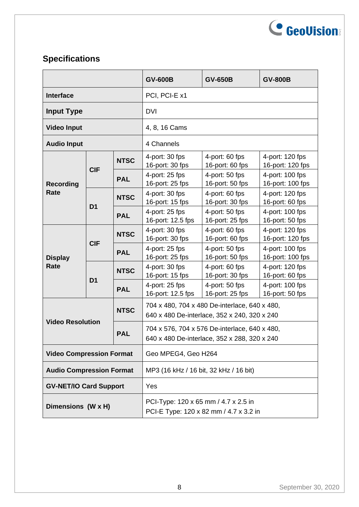

## **Specifications**

|                                                      |                |                                                                                               | <b>GV-600B</b>                      | <b>GV-650B</b>                    | <b>GV-800B</b>                      |  |
|------------------------------------------------------|----------------|-----------------------------------------------------------------------------------------------|-------------------------------------|-----------------------------------|-------------------------------------|--|
| <b>Interface</b>                                     |                | PCI, PCI-E x1                                                                                 |                                     |                                   |                                     |  |
| <b>Input Type</b>                                    |                | <b>DVI</b>                                                                                    |                                     |                                   |                                     |  |
| <b>Video Input</b>                                   |                |                                                                                               | 4, 8, 16 Cams                       |                                   |                                     |  |
| <b>Audio Input</b>                                   |                | 4 Channels                                                                                    |                                     |                                   |                                     |  |
|                                                      |                | <b>NTSC</b>                                                                                   | 4-port: 30 fps<br>16-port: 30 fps   | 4-port: 60 fps<br>16-port: 60 fps | 4-port: 120 fps<br>16-port: 120 fps |  |
| <b>Recording</b>                                     | <b>CIF</b>     | <b>PAL</b>                                                                                    | 4-port: 25 fps<br>16-port: 25 fps   | 4-port: 50 fps<br>16-port: 50 fps | 4-port: 100 fps<br>16-port: 100 fps |  |
| Rate                                                 | D <sub>1</sub> | <b>NTSC</b>                                                                                   | 4-port: 30 fps<br>16-port: 15 fps   | 4-port: 60 fps<br>16-port: 30 fps | 4-port: 120 fps<br>16-port: 60 fps  |  |
|                                                      |                | <b>PAL</b>                                                                                    | 4-port: 25 fps<br>16-port: 12.5 fps | 4-port: 50 fps<br>16-port: 25 fps | 4-port: 100 fps<br>16-port: 50 fps  |  |
|                                                      |                | <b>NTSC</b>                                                                                   | 4-port: 30 fps<br>16-port: 30 fps   | 4-port: 60 fps<br>16-port: 60 fps | 4-port: 120 fps<br>16-port: 120 fps |  |
| <b>Display</b>                                       | <b>CIF</b>     | <b>PAL</b>                                                                                    | 4-port: 25 fps<br>16-port: 25 fps   | 4-port: 50 fps<br>16-port: 50 fps | 4-port: 100 fps<br>16-port: 100 fps |  |
| Rate                                                 | D <sub>1</sub> | <b>NTSC</b>                                                                                   | 4-port: 30 fps<br>16-port: 15 fps   | 4-port: 60 fps<br>16-port: 30 fps | 4-port: 120 fps<br>16-port: 60 fps  |  |
|                                                      |                | <b>PAL</b>                                                                                    | 4-port: 25 fps<br>16-port: 12.5 fps | 4-port: 50 fps<br>16-port: 25 fps | 4-port: 100 fps<br>16-port: 50 fps  |  |
| <b>NTSC</b><br><b>Video Resolution</b><br><b>PAL</b> |                | 704 x 480, 704 x 480 De-interlace, 640 x 480,<br>640 x 480 De-interlace, 352 x 240, 320 x 240 |                                     |                                   |                                     |  |
|                                                      |                | 704 x 576, 704 x 576 De-interlace, 640 x 480,<br>640 x 480 De-interlace, 352 x 288, 320 x 240 |                                     |                                   |                                     |  |
| <b>Video Compression Format</b>                      |                | Geo MPEG4, Geo H264                                                                           |                                     |                                   |                                     |  |
| <b>Audio Compression Format</b>                      |                | MP3 (16 kHz / 16 bit, 32 kHz / 16 bit)                                                        |                                     |                                   |                                     |  |
| <b>GV-NET/IO Card Support</b>                        |                | Yes                                                                                           |                                     |                                   |                                     |  |
| Dimensions (W x H)                                   |                | PCI-Type: 120 x 65 mm / 4.7 x 2.5 in<br>PCI-E Type: 120 x 82 mm / 4.7 x 3.2 in                |                                     |                                   |                                     |  |